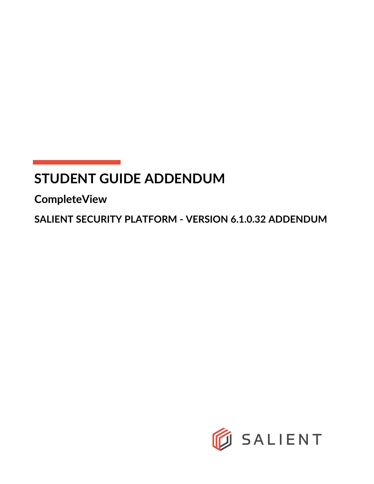# **STUDENT GUIDE ADDENDUM**

**CompleteView**

**SALIENT SECURITY PLATFORM - VERSION 6.1.0.32 ADDENDUM**

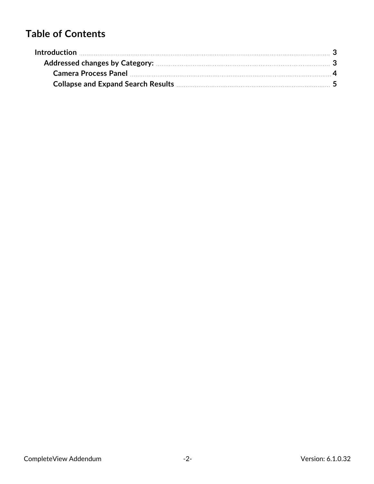# **Table of Contents**

| Introduction <b>contracts</b> and the contract of the contract of the contract of the contract of the contract of the contract of the contract of the contract of the contract of the contract of the contract of the contract of t |  |
|-------------------------------------------------------------------------------------------------------------------------------------------------------------------------------------------------------------------------------------|--|
|                                                                                                                                                                                                                                     |  |
| Camera Process Panel <b>Marine Maria Camera Process Panel Maria Camera</b> 4                                                                                                                                                        |  |
| Collapse and Expand Search Results <b>Manual Accord 2018</b> 5                                                                                                                                                                      |  |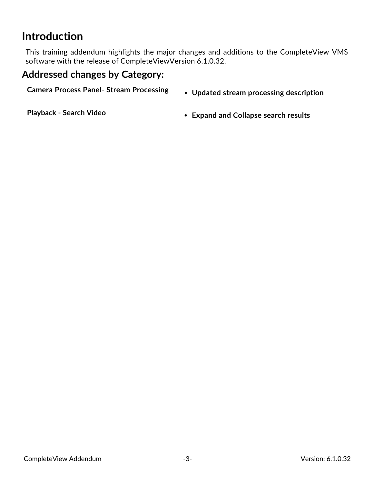# <span id="page-2-0"></span>**Introduction**

This training addendum highlights the major changes and additions to the CompleteView VMS software with the release of CompleteViewVersion 6.1.0.32.

### <span id="page-2-1"></span>**Addressed changes by Category:**

- **Camera Process Panel- Stream Processing** <sup>l</sup> **Updated stream processing description**
	-

**Playback - Search Video** <sup>l</sup> **Expand and Collapse search results**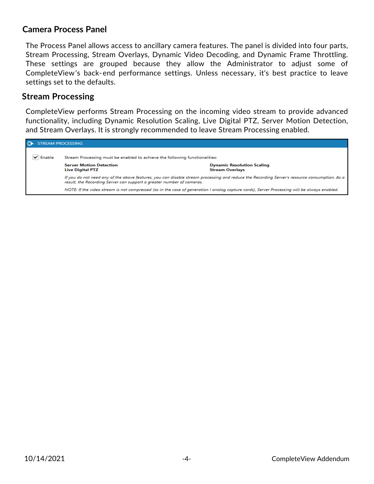#### <span id="page-3-0"></span>**Camera Process Panel**

The Process Panel allows access to ancillary camera features. The panel is divided into four parts, Stream Processing, Stream Overlays, Dynamic Video Decoding, and Dynamic Frame Throttling. These settings are grouped because they allow the Administrator to adjust some of CompleteView's back-end performance settings. Unless necessary, it's best practice to leave settings set to the defaults.

#### **Stream Processing**

CompleteView performs Stream Processing on the incoming video stream to provide advanced functionality, including Dynamic Resolution Scaling, Live Digital PTZ, Server Motion Detection, and Stream Overlays. It is strongly recommended to leave Stream Processing enabled.

|        | <b>STREAM PROCESSING</b>                                                                                                                                                                                              |                                                             |  |  |  |  |  |  |  |
|--------|-----------------------------------------------------------------------------------------------------------------------------------------------------------------------------------------------------------------------|-------------------------------------------------------------|--|--|--|--|--|--|--|
| Enable | Stream Processing must be enabled to achieve the following functionalities:                                                                                                                                           |                                                             |  |  |  |  |  |  |  |
|        | <b>Server Motion Detection</b><br><b>Live Digital PTZ</b>                                                                                                                                                             | <b>Dynamic Resolution Scaling</b><br><b>Stream Overlays</b> |  |  |  |  |  |  |  |
|        | If you do not need any of the above features, you can disable stream processing and reduce the Recording Server's resource consumption. As a<br>result, the Recording Server can support a greater number of cameras. |                                                             |  |  |  |  |  |  |  |
|        | NOTE: If the video stream is not compressed (as in the case of generation I analog capture cards), Server Processing will be always enabled.                                                                          |                                                             |  |  |  |  |  |  |  |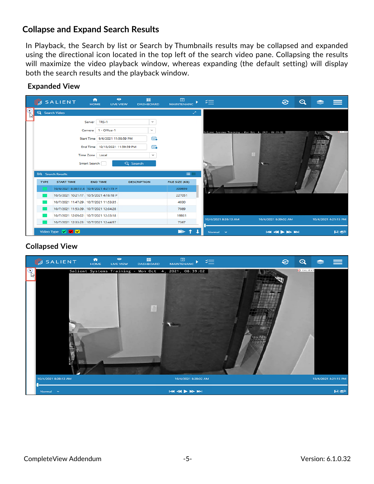#### <span id="page-4-0"></span>**Collapse and Expand Search Results**

In Playback, the Search by list or Search by Thumbnails results may be collapsed and expanded using the directional icon located in the top left of the search video pane. Collapsing the results will maximize the video playback window, whereas expanding (the default setting) will display both the search results and the playback window.

#### **Expanded View**

|             | <b>SALIENT</b>                                          | $\bullet$<br>A<br><b>HOME</b><br><b>LIVE VIEW</b>                                                                                                    | $\Box$<br><b>DASHBOARD</b>                                   | $\overline{a}$<br><b>MAINTENANC</b> |                                                      | B                                                                            | ⊙ |                      |                  |
|-------------|---------------------------------------------------------|------------------------------------------------------------------------------------------------------------------------------------------------------|--------------------------------------------------------------|-------------------------------------|------------------------------------------------------|------------------------------------------------------------------------------|---|----------------------|------------------|
| ∝           | Q Search Video                                          |                                                                                                                                                      |                                                              | العميد                              |                                                      |                                                                              |   |                      |                  |
|             |                                                         | TRS-1<br>Server<br>1 - Office-1<br>Camera<br>Start Time 9/6/2021 11:59:59 PM<br>End Time   10/13/2021 11:59:59 PM<br>Time Zone Local<br>Smart Search | $\sim$<br>$\checkmark$<br>儘<br>盡<br>$\checkmark$<br>Q Search |                                     | Solient Systems Training - Nor Oct 4, 2021, 08:39:02 |                                                                              |   |                      | <b>MA FF IPH</b> |
|             | EQ Search Results                                       |                                                                                                                                                      |                                                              | 清理                                  |                                                      |                                                                              |   |                      |                  |
| <b>TYPE</b> | <b>START TIME</b>                                       | <b>END TIME</b>                                                                                                                                      | <b>DESCRIPTION</b>                                           | FILE SIZE (KB)                      |                                                      |                                                                              |   |                      |                  |
|             | 10/4/2021 8:38:13 A 10/4/2021 4:21:15 P                 |                                                                                                                                                      |                                                              | 300659                              |                                                      |                                                                              |   |                      |                  |
|             | 10/5/2021 10:21:17 10/5/2021 4:18:18 P                  |                                                                                                                                                      |                                                              | 227051                              |                                                      |                                                                              |   |                      |                  |
|             | 10/7/2021 11:47:29 , 10/7/2021 11:53:35                 |                                                                                                                                                      |                                                              | 4030                                |                                                      |                                                                              |   |                      |                  |
|             | 10/7/2021 11:53:39 / 10/7/2021 12:04:28                 |                                                                                                                                                      |                                                              | 7089                                |                                                      |                                                                              |   |                      |                  |
|             | 10/7/2021 12:05:02 10/7/2021 12:33:18                   |                                                                                                                                                      |                                                              | 19931                               | 10/4/2021 8:38:13 AM                                 | 10/4/2021 8:39:02 AM                                                         |   | 10/4/2021 4:21:15 PM |                  |
|             | 10/7/2021 12:33:23 10/7/2021 12:44:57                   |                                                                                                                                                      |                                                              | 7367                                |                                                      |                                                                              |   |                      |                  |
|             | Video Type $\blacksquare$ $\blacksquare$ $\blacksquare$ |                                                                                                                                                      |                                                              | ▶                                   | Normal v                                             | $\mathsf{I} \mathsf{M} \mathsf{M} \blacktriangleright \mathsf{M} \mathsf{M}$ |   |                      | $H \otimes 0$    |

#### **Collapsed View**